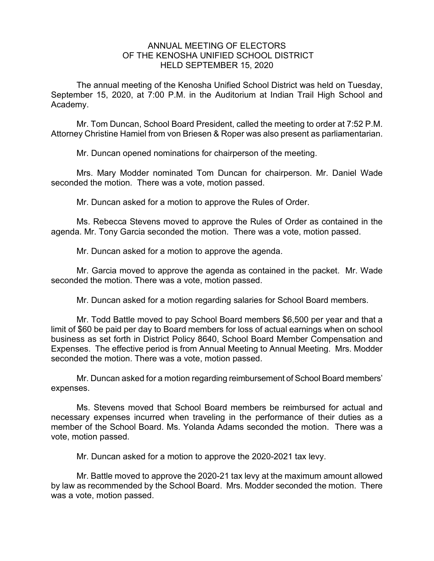## ANNUAL MEETING OF ELECTORS OF THE KENOSHA UNIFIED SCHOOL DISTRICT HELD SEPTEMBER 15, 2020

The annual meeting of the Kenosha Unified School District was held on Tuesday, September 15, 2020, at 7:00 P.M. in the Auditorium at Indian Trail High School and Academy.

Mr. Tom Duncan, School Board President, called the meeting to order at 7:52 P.M. Attorney Christine Hamiel from von Briesen & Roper was also present as parliamentarian.

Mr. Duncan opened nominations for chairperson of the meeting.

Mrs. Mary Modder nominated Tom Duncan for chairperson. Mr. Daniel Wade seconded the motion. There was a vote, motion passed.

Mr. Duncan asked for a motion to approve the Rules of Order.

Ms. Rebecca Stevens moved to approve the Rules of Order as contained in the agenda. Mr. Tony Garcia seconded the motion. There was a vote, motion passed.

Mr. Duncan asked for a motion to approve the agenda.

Mr. Garcia moved to approve the agenda as contained in the packet. Mr. Wade seconded the motion. There was a vote, motion passed.

Mr. Duncan asked for a motion regarding salaries for School Board members.

Mr. Todd Battle moved to pay School Board members \$6,500 per year and that a limit of \$60 be paid per day to Board members for loss of actual earnings when on school business as set forth in District Policy 8640, School Board Member Compensation and Expenses. The effective period is from Annual Meeting to Annual Meeting. Mrs. Modder seconded the motion. There was a vote, motion passed.

Mr. Duncan asked for a motion regarding reimbursement of School Board members' expenses.

Ms. Stevens moved that School Board members be reimbursed for actual and necessary expenses incurred when traveling in the performance of their duties as a member of the School Board. Ms. Yolanda Adams seconded the motion. There was a vote, motion passed.

Mr. Duncan asked for a motion to approve the 2020-2021 tax levy.

Mr. Battle moved to approve the 2020-21 tax levy at the maximum amount allowed by law as recommended by the School Board. Mrs. Modder seconded the motion. There was a vote, motion passed.